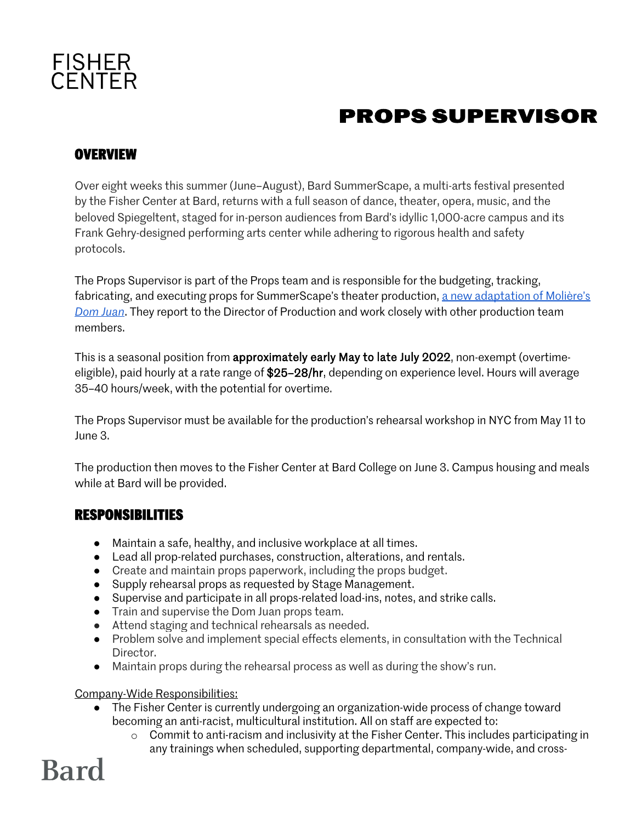

### **PROPS SUPERVISOR**

#### **OVERVIEW**

Over eight weeks this summer (June–August), Bard SummerScape, a multi-arts festival presented by the Fisher Center at Bard, returns with a full season of dance, theater, opera, music, and the beloved Spiegeltent, staged for in-person audiences from Bard's idyllic 1,000-acre campus and its Frank Gehry-designed performing arts center while adhering to rigorous health and safety protocols.

The Props Supervisor is part of the Props team and is responsible for the budgeting, tracking, fabricating, and executing props for SummerScape's theater production, a new adaptation of Molière's *Dom Juan*. They report to the Director of Production and work closely with other production team members.

This is a seasonal position from approximately early May to late July 2022, non-exempt (overtimeeligible), paid hourly at a rate range of \$25–28/hr, depending on experience level. Hours will average 35–40 hours/week, with the potential for overtime.

The Props Supervisor must be available for the production's rehearsal workshop in NYC from May 11 to June 3.

The production then moves to the Fisher Center at Bard College on June 3. Campus housing and meals while at Bard will be provided.

#### **RESPONSIBILITIES**

- Maintain a safe, healthy, and inclusive workplace at all times.
- Lead all prop-related purchases, construction, alterations, and rentals.
- Create and maintain props paperwork, including the props budget.
- Supply rehearsal props as requested by Stage Management.
- Supervise and participate in all props-related load-ins, notes, and strike calls.
- Train and supervise the Dom Juan props team.
- Attend staging and technical rehearsals as needed.
- Problem solve and implement special effects elements, in consultation with the Technical Director.
- Maintain props during the rehearsal process as well as during the show's run.

#### Company-Wide Responsibilities:

- The Fisher Center is currently undergoing an organization-wide process of change toward becoming an anti-racist, multicultural institution. All on staff are expected to:
	- o Commit to anti-racism and inclusivity at the Fisher Center. This includes participating in any trainings when scheduled, supporting departmental, company-wide, and cross-

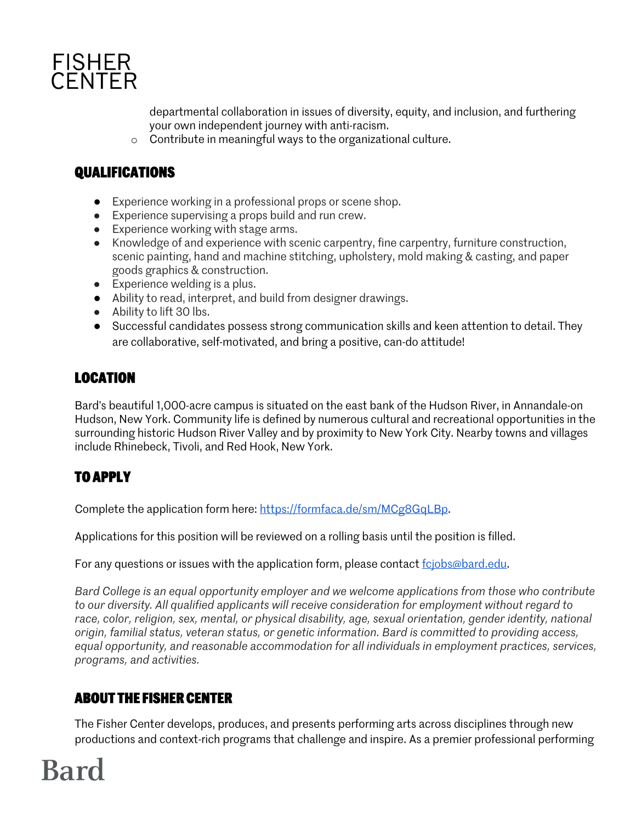

departmental collaboration in issues of diversity, equity, and inclusion, and furthering your own independent journey with anti-racism.

o Contribute in meaningful ways to the organizational culture.

#### **QUALIFICATIONS**

- Experience working in a professional props or scene shop.
- Experience supervising a props build and run crew.
- Experience working with stage arms.
- Knowledge of and experience with scenic carpentry, fine carpentry, furniture construction, scenic painting, hand and machine stitching, upholstery, mold making & casting, and paper goods graphics & construction.
- Experience welding is a plus.
- Ability to read, interpret, and build from designer drawings.
- Ability to lift 30 lbs.
- Successful candidates possess strong communication skills and keen attention to detail. They are collaborative, self-motivated, and bring a positive, can-do attitude!

#### **LOCATION**

Bard's beautiful 1,000-acre campus is situated on the east bank of the Hudson River, in Annandale-on Hudson, New York. Community life is defined by numerous cultural and recreational opportunities in the surrounding historic Hudson River Valley and by proximity to New York City. Nearby towns and villages include Rhinebeck, Tivoli, and Red Hook, New York.

### **TO APPLY**

Complete the application form here: https://formfaca.de/sm/MCg8GqLBp.

Applications for this position will be reviewed on a rolling basis until the position is filled.

For any questions or issues with the application form, please contact fcjobs@bard.edu.

*Bard College is an equal opportunity employer and we welcome applications from those who contribute to our diversity. All qualified applicants will receive consideration for employment without regard to race, color, religion, sex, mental, or physical disability, age, sexual orientation, gender identity, national origin, familial status, veteran status, or genetic information. Bard is committed to providing access, equal opportunity, and reasonable accommodation for all individuals in employment practices, services, programs, and activities.*

#### **ABOUT THE FISHER CENTER**

The Fisher Center develops, produces, and presents performing arts across disciplines through new productions and context-rich programs that challenge and inspire. As a premier professional performing

## **Bard**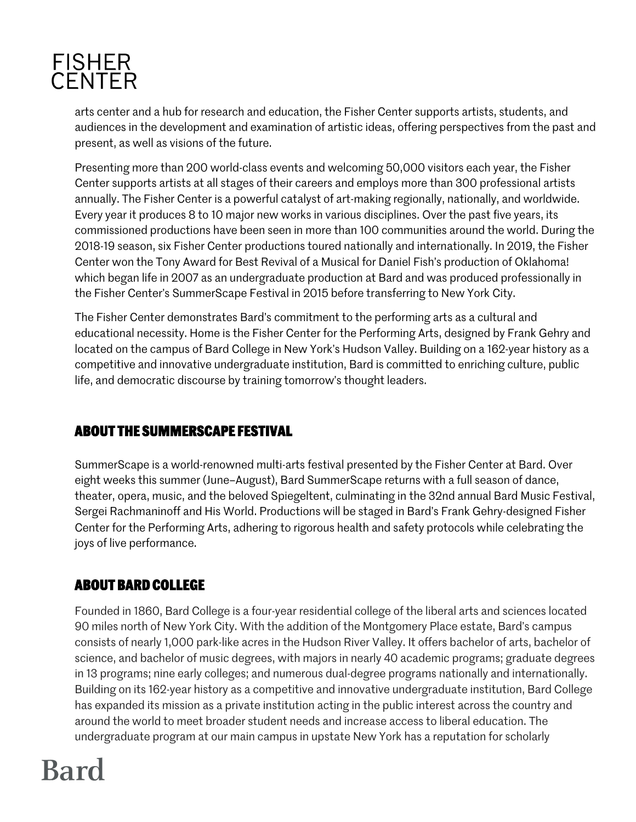### **FISHER CENTER**

arts center and a hub for research and education, the Fisher Center supports artists, students, and audiences in the development and examination of artistic ideas, offering perspectives from the past and present, as well as visions of the future.

Presenting more than 200 world-class events and welcoming 50,000 visitors each year, the Fisher Center supports artists at all stages of their careers and employs more than 300 professional artists annually. The Fisher Center is a powerful catalyst of art-making regionally, nationally, and worldwide. Every year it produces 8 to 10 major new works in various disciplines. Over the past five years, its commissioned productions have been seen in more than 100 communities around the world. During the 2018-19 season, six Fisher Center productions toured nationally and internationally. In 2019, the Fisher Center won the Tony Award for Best Revival of a Musical for Daniel Fish's production of Oklahoma! which began life in 2007 as an undergraduate production at Bard and was produced professionally in the Fisher Center's SummerScape Festival in 2015 before transferring to New York City.

The Fisher Center demonstrates Bard's commitment to the performing arts as a cultural and educational necessity. Home is the Fisher Center for the Performing Arts, designed by Frank Gehry and located on the campus of Bard College in New York's Hudson Valley. Building on a 162-year history as a competitive and innovative undergraduate institution, Bard is committed to enriching culture, public life, and democratic discourse by training tomorrow's thought leaders.

#### **ABOUT THE SUMMERSCAPE FESTIVAL**

SummerScape is a world-renowned multi-arts festival presented by the Fisher Center at Bard. Over eight weeks this summer (June–August), Bard SummerScape returns with a full season of dance, theater, opera, music, and the beloved Spiegeltent, culminating in the 32nd annual Bard Music Festival, Sergei Rachmaninoff and His World. Productions will be staged in Bard's Frank Gehry-designed Fisher Center for the Performing Arts, adhering to rigorous health and safety protocols while celebrating the joys of live performance.

#### **ABOUT BARD COLLEGE**

Founded in 1860, Bard College is a four-year residential college of the liberal arts and sciences located 90 miles north of New York City. With the addition of the Montgomery Place estate, Bard's campus consists of nearly 1,000 park-like acres in the Hudson River Valley. It offers bachelor of arts, bachelor of science, and bachelor of music degrees, with majors in nearly 40 academic programs; graduate degrees in 13 programs; nine early colleges; and numerous dual-degree programs nationally and internationally. Building on its 162-year history as a competitive and innovative undergraduate institution, Bard College has expanded its mission as a private institution acting in the public interest across the country and around the world to meet broader student needs and increase access to liberal education. The undergraduate program at our main campus in upstate New York has a reputation for scholarly

# **Bard**